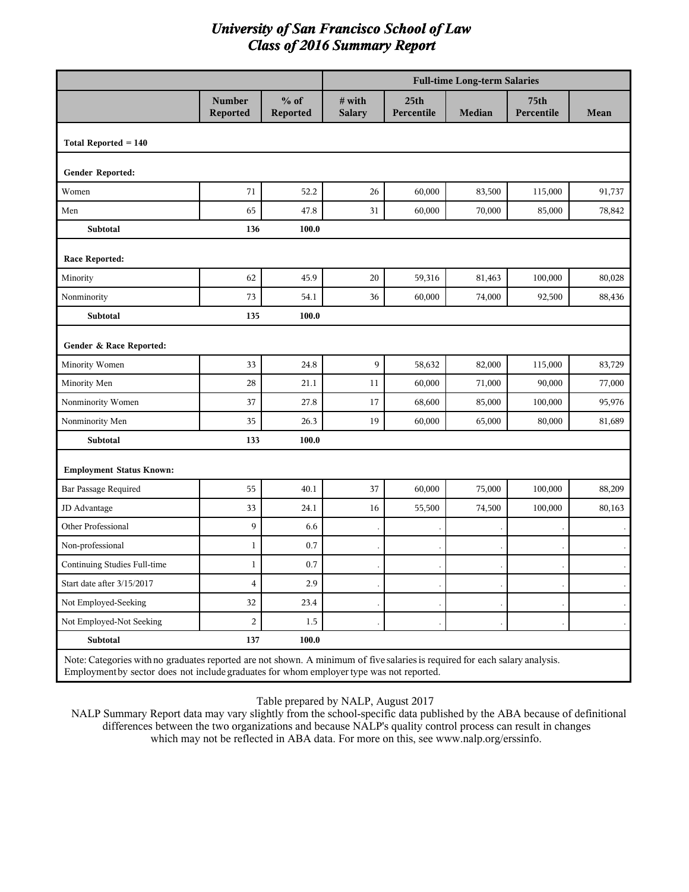|                                 |                                                                                                                                                                                                                         |                    |                         | <b>Full-time Long-term Salaries</b> |        |                    |        |  |  |
|---------------------------------|-------------------------------------------------------------------------------------------------------------------------------------------------------------------------------------------------------------------------|--------------------|-------------------------|-------------------------------------|--------|--------------------|--------|--|--|
|                                 | <b>Number</b><br>Reported                                                                                                                                                                                               | $%$ of<br>Reported | # with<br><b>Salary</b> | 25 <sub>th</sub><br>Percentile      | Median | 75th<br>Percentile | Mean   |  |  |
| Total Reported $= 140$          |                                                                                                                                                                                                                         |                    |                         |                                     |        |                    |        |  |  |
| Gender Reported:                |                                                                                                                                                                                                                         |                    |                         |                                     |        |                    |        |  |  |
| Women                           | 71                                                                                                                                                                                                                      | 52.2               | 26                      | 60,000                              | 83,500 | 115,000            | 91,737 |  |  |
| Men                             | 65                                                                                                                                                                                                                      | 47.8               | 31                      | 60,000                              | 70,000 | 85,000             | 78,842 |  |  |
| Subtotal                        | 136                                                                                                                                                                                                                     | 100.0              |                         |                                     |        |                    |        |  |  |
| Race Reported:                  |                                                                                                                                                                                                                         |                    |                         |                                     |        |                    |        |  |  |
| Minority                        | 62                                                                                                                                                                                                                      | 45.9               | 20                      | 59,316                              | 81,463 | 100,000            | 80,028 |  |  |
| Nonminority                     | 73                                                                                                                                                                                                                      | 54.1               | 36                      | 60,000                              | 74,000 | 92,500             | 88,436 |  |  |
| Subtotal                        | 135                                                                                                                                                                                                                     | 100.0              |                         |                                     |        |                    |        |  |  |
| Gender & Race Reported:         |                                                                                                                                                                                                                         |                    |                         |                                     |        |                    |        |  |  |
| Minority Women                  | 33                                                                                                                                                                                                                      | 24.8               | 9                       | 58,632                              | 82,000 | 115,000            | 83,729 |  |  |
| Minority Men                    | 28                                                                                                                                                                                                                      | 21.1               | 11                      | 60,000                              | 71,000 | 90,000             | 77,000 |  |  |
| Nonminority Women               | 37                                                                                                                                                                                                                      | 27.8               | 17                      | 68,600                              | 85,000 | 100,000            | 95,976 |  |  |
| Nonminority Men                 | 35                                                                                                                                                                                                                      | 26.3               | 19                      | 60,000                              | 65,000 | 80,000             | 81,689 |  |  |
| Subtotal                        | 133                                                                                                                                                                                                                     | 100.0              |                         |                                     |        |                    |        |  |  |
| <b>Employment Status Known:</b> |                                                                                                                                                                                                                         |                    |                         |                                     |        |                    |        |  |  |
| Bar Passage Required            | 55                                                                                                                                                                                                                      | 40.1               | 37                      | 60,000                              | 75,000 | 100,000            | 88,209 |  |  |
| JD Advantage                    | 33                                                                                                                                                                                                                      | 24.1               | 16                      | 55,500                              | 74,500 | 100,000            | 80,163 |  |  |
| Other Professional              | 9                                                                                                                                                                                                                       | 6.6                |                         |                                     |        |                    |        |  |  |
| Non-professional                | $\mathbf{1}$                                                                                                                                                                                                            | 0.7                |                         |                                     |        |                    |        |  |  |
| Continuing Studies Full-time    | $\mathbf{1}$                                                                                                                                                                                                            | 0.7                |                         |                                     |        |                    |        |  |  |
| Start date after 3/15/2017      | $\overline{\mathbf{4}}$                                                                                                                                                                                                 | 2.9                |                         |                                     |        |                    |        |  |  |
| Not Employed-Seeking            | 32                                                                                                                                                                                                                      | 23.4               |                         |                                     |        |                    |        |  |  |
| Not Employed-Not Seeking        | $\overline{c}$                                                                                                                                                                                                          | 1.5                |                         |                                     |        |                    |        |  |  |
| Subtotal                        | 137                                                                                                                                                                                                                     | 100.0              |                         |                                     |        |                    |        |  |  |
|                                 | Note: Categories with no graduates reported are not shown. A minimum of five salaries is required for each salary analysis.<br>Employment by sector does not include graduates for whom employer type was not reported. |                    |                         |                                     |        |                    |        |  |  |

Table prepared by NALP, August 2017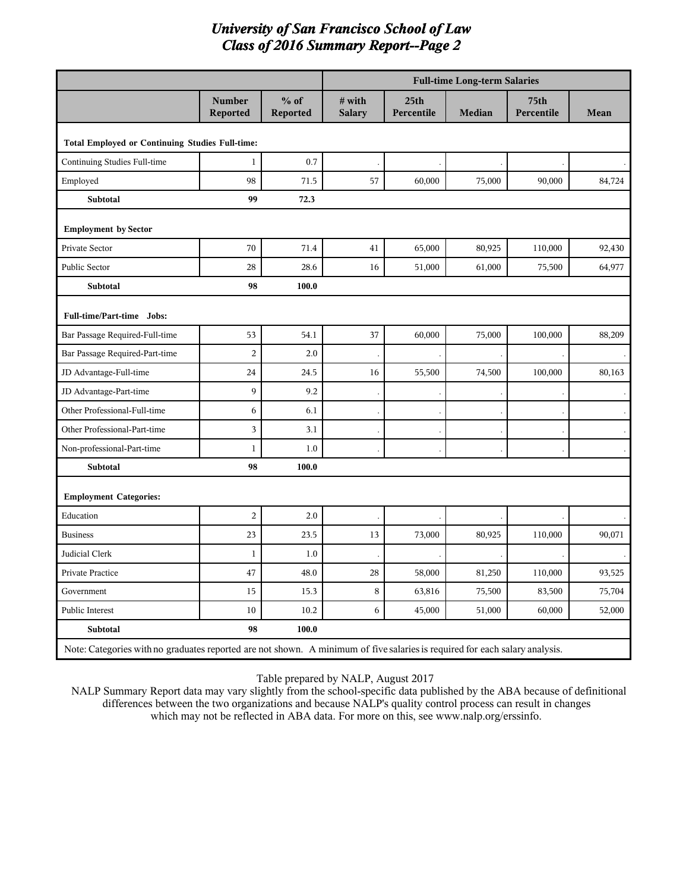|                                                 |                           |                    | <b>Full-time Long-term Salaries</b> |                                |               |                    |        |  |
|-------------------------------------------------|---------------------------|--------------------|-------------------------------------|--------------------------------|---------------|--------------------|--------|--|
|                                                 | <b>Number</b><br>Reported | $%$ of<br>Reported | # with<br><b>Salary</b>             | 25 <sub>th</sub><br>Percentile | <b>Median</b> | 75th<br>Percentile | Mean   |  |
| Total Employed or Continuing Studies Full-time: |                           |                    |                                     |                                |               |                    |        |  |
| Continuing Studies Full-time                    | $\mathbf{1}$              | 0.7                |                                     |                                |               |                    |        |  |
| Employed                                        | 98                        | 71.5               | 57                                  | 60,000                         | 75,000        | 90,000             | 84,724 |  |
| Subtotal                                        | 99                        | 72.3               |                                     |                                |               |                    |        |  |
| <b>Employment by Sector</b>                     |                           |                    |                                     |                                |               |                    |        |  |
| Private Sector                                  | 70                        | 71.4               | 41                                  | 65,000                         | 80,925        | 110,000            | 92,430 |  |
| Public Sector                                   | 28                        | 28.6               | 16                                  | 51,000                         | 61,000        | 75,500             | 64,977 |  |
| Subtotal                                        | 98                        | 100.0              |                                     |                                |               |                    |        |  |
| Full-time/Part-time Jobs:                       |                           |                    |                                     |                                |               |                    |        |  |
| Bar Passage Required-Full-time                  | 53                        | 54.1               | 37                                  | 60,000                         | 75,000        | 100,000            | 88,209 |  |
| Bar Passage Required-Part-time                  | $\overline{2}$            | 2.0                |                                     |                                |               |                    |        |  |
| JD Advantage-Full-time                          | 24                        | 24.5               | 16                                  | 55,500                         | 74,500        | 100,000            | 80,163 |  |
| JD Advantage-Part-time                          | 9                         | 9.2                |                                     |                                |               |                    |        |  |
| Other Professional-Full-time                    | 6                         | 6.1                |                                     |                                |               |                    |        |  |
| Other Professional-Part-time                    | 3                         | 3.1                |                                     |                                |               |                    |        |  |
| Non-professional-Part-time                      | $\mathbf{1}$              | 1.0                |                                     |                                |               |                    |        |  |
| Subtotal                                        | 98                        | 100.0              |                                     |                                |               |                    |        |  |
| <b>Employment Categories:</b>                   |                           |                    |                                     |                                |               |                    |        |  |
| Education                                       | $\overline{2}$            | 2.0                |                                     |                                |               |                    |        |  |
| <b>Business</b>                                 | 23                        | 23.5               | 13                                  | 73,000                         | 80,925        | 110,000            | 90,071 |  |
| Judicial Clerk                                  | $1\,$                     | 1.0                |                                     |                                |               |                    |        |  |
| Private Practice                                | 47                        | 48.0               | 28                                  | 58,000                         | 81,250        | 110,000            | 93,525 |  |
| Government                                      | 15                        | 15.3               | $\,8\,$                             | 63,816                         | 75,500        | 83,500             | 75,704 |  |
| Public Interest                                 | 10                        | 10.2               | 6                                   | 45,000                         | 51,000        | 60,000             | 52,000 |  |
| Subtotal                                        | 98                        | 100.0              |                                     |                                |               |                    |        |  |

Table prepared by NALP, August 2017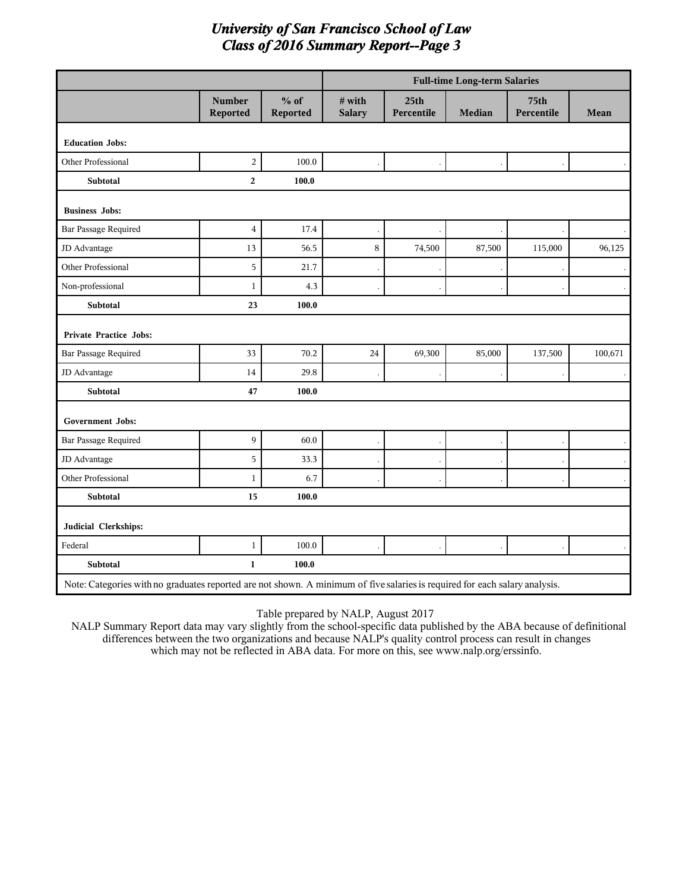|                                                                                                                             |                           |                    | <b>Full-time Long-term Salaries</b> |                                |        |                    |             |  |
|-----------------------------------------------------------------------------------------------------------------------------|---------------------------|--------------------|-------------------------------------|--------------------------------|--------|--------------------|-------------|--|
|                                                                                                                             | <b>Number</b><br>Reported | $%$ of<br>Reported | # with<br><b>Salary</b>             | 25 <sub>th</sub><br>Percentile | Median | 75th<br>Percentile | <b>Mean</b> |  |
| <b>Education Jobs:</b>                                                                                                      |                           |                    |                                     |                                |        |                    |             |  |
| Other Professional                                                                                                          | $\overline{c}$            | 100.0              |                                     |                                |        |                    |             |  |
| Subtotal                                                                                                                    | $\overline{2}$            | 100.0              |                                     |                                |        |                    |             |  |
| <b>Business Jobs:</b>                                                                                                       |                           |                    |                                     |                                |        |                    |             |  |
| Bar Passage Required                                                                                                        | $\overline{4}$            | 17.4               |                                     |                                |        |                    |             |  |
| JD Advantage                                                                                                                | 13                        | 56.5               | $\,8\,$                             | 74,500                         | 87,500 | 115,000            | 96,125      |  |
| Other Professional                                                                                                          | 5                         | 21.7               |                                     |                                |        |                    |             |  |
| Non-professional                                                                                                            | $\mathbf{1}$              | 4.3                |                                     |                                |        |                    |             |  |
| <b>Subtotal</b>                                                                                                             | 23                        | 100.0              |                                     |                                |        |                    |             |  |
| <b>Private Practice Jobs:</b>                                                                                               |                           |                    |                                     |                                |        |                    |             |  |
| <b>Bar Passage Required</b>                                                                                                 | 33                        | 70.2               | $24\,$                              | 69,300                         | 85,000 | 137,500            | 100,671     |  |
| JD Advantage                                                                                                                | 14                        | 29.8               |                                     |                                |        |                    |             |  |
| Subtotal                                                                                                                    | 47                        | 100.0              |                                     |                                |        |                    |             |  |
| <b>Government Jobs:</b>                                                                                                     |                           |                    |                                     |                                |        |                    |             |  |
| <b>Bar Passage Required</b>                                                                                                 | 9                         | 60.0               |                                     |                                |        |                    |             |  |
| JD Advantage                                                                                                                | 5                         | 33.3               |                                     |                                |        |                    |             |  |
| <b>Other Professional</b>                                                                                                   | $\mathbf{1}$              | 6.7                |                                     |                                |        |                    |             |  |
| Subtotal                                                                                                                    | 15                        | 100.0              |                                     |                                |        |                    |             |  |
| Judicial Clerkships:                                                                                                        |                           |                    |                                     |                                |        |                    |             |  |
| Federal                                                                                                                     | $\mathbf{1}$              | 100.0              |                                     |                                |        |                    |             |  |
| <b>Subtotal</b>                                                                                                             | $\mathbf{1}$              | 100.0              |                                     |                                |        |                    |             |  |
| Note: Categories with no graduates reported are not shown. A minimum of five salaries is required for each salary analysis. |                           |                    |                                     |                                |        |                    |             |  |

Table prepared by NALP, August 2017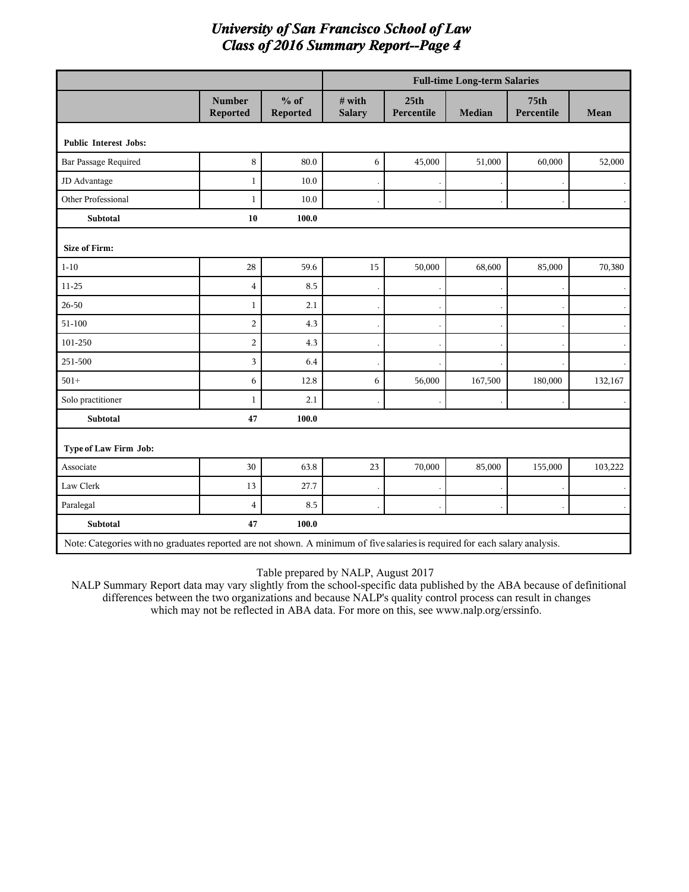|                                                                                                                             |                           |                    |                         |                                | <b>Full-time Long-term Salaries</b> |                    |         |
|-----------------------------------------------------------------------------------------------------------------------------|---------------------------|--------------------|-------------------------|--------------------------------|-------------------------------------|--------------------|---------|
|                                                                                                                             | <b>Number</b><br>Reported | $%$ of<br>Reported | # with<br><b>Salary</b> | 25 <sub>th</sub><br>Percentile | <b>Median</b>                       | 75th<br>Percentile | Mean    |
| <b>Public Interest Jobs:</b>                                                                                                |                           |                    |                         |                                |                                     |                    |         |
| <b>Bar Passage Required</b>                                                                                                 | 8                         | 80.0               | 6                       | 45,000                         | 51,000                              | 60,000             | 52,000  |
| JD Advantage                                                                                                                | $\mathbf{1}$              | 10.0               |                         |                                |                                     |                    |         |
| Other Professional                                                                                                          | $\mathbf{1}$              | 10.0               |                         |                                |                                     |                    |         |
| <b>Subtotal</b>                                                                                                             | 10                        | 100.0              |                         |                                |                                     |                    |         |
| <b>Size of Firm:</b>                                                                                                        |                           |                    |                         |                                |                                     |                    |         |
| $1 - 10$                                                                                                                    | 28                        | 59.6               | 15                      | 50,000                         | 68,600                              | 85,000             | 70,380  |
| 11-25                                                                                                                       | $\overline{4}$            | 8.5                |                         |                                |                                     |                    |         |
| $26 - 50$                                                                                                                   | $\mathbf{1}$              | 2.1                |                         |                                |                                     |                    |         |
| 51-100                                                                                                                      | $\overline{2}$            | 4.3                |                         |                                |                                     |                    |         |
| 101-250                                                                                                                     | $\overline{2}$            | 4.3                |                         |                                |                                     |                    |         |
| 251-500                                                                                                                     | 3                         | 6.4                |                         |                                |                                     |                    |         |
| $501+$                                                                                                                      | 6                         | 12.8               | 6                       | 56,000                         | 167,500                             | 180,000            | 132,167 |
| Solo practitioner                                                                                                           | $\mathbf{1}$              | 2.1                |                         |                                |                                     |                    |         |
| <b>Subtotal</b>                                                                                                             | 47                        | 100.0              |                         |                                |                                     |                    |         |
| Type of Law Firm Job:                                                                                                       |                           |                    |                         |                                |                                     |                    |         |
| Associate                                                                                                                   | 30                        | 63.8               | 23                      | 70,000                         | 85,000                              | 155,000            | 103,222 |
| Law Clerk                                                                                                                   | 13                        | 27.7               |                         |                                |                                     |                    |         |
| Paralegal                                                                                                                   | $\overline{4}$            | 8.5                |                         |                                |                                     |                    |         |
| <b>Subtotal</b>                                                                                                             | 47                        | 100.0              |                         |                                |                                     |                    |         |
| Note: Categories with no graduates reported are not shown. A minimum of five salaries is required for each salary analysis. |                           |                    |                         |                                |                                     |                    |         |

Table prepared by NALP, August 2017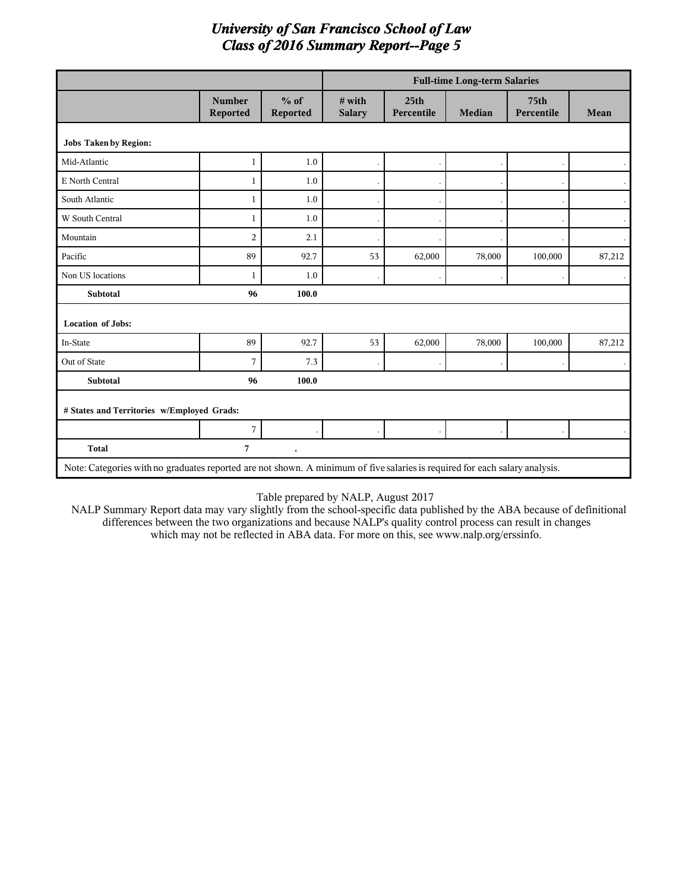|                                                                                                                             |                           |                      |                         |                                | <b>Full-time Long-term Salaries</b> |                    |        |
|-----------------------------------------------------------------------------------------------------------------------------|---------------------------|----------------------|-------------------------|--------------------------------|-------------------------------------|--------------------|--------|
|                                                                                                                             | <b>Number</b><br>Reported | $%$ of<br>Reported   | # with<br><b>Salary</b> | 25 <sub>th</sub><br>Percentile | <b>Median</b>                       | 75th<br>Percentile | Mean   |
| <b>Jobs Taken by Region:</b>                                                                                                |                           |                      |                         |                                |                                     |                    |        |
| Mid-Atlantic                                                                                                                | $\mathbf{1}$              | 1.0                  |                         |                                |                                     |                    |        |
| E North Central                                                                                                             | $\mathbf{1}$              | 1.0                  |                         |                                |                                     |                    |        |
| South Atlantic                                                                                                              | $\mathbf{1}$              | 1.0                  |                         |                                |                                     |                    |        |
| W South Central                                                                                                             | $\mathbf{1}$              | 1.0                  |                         |                                |                                     |                    |        |
| Mountain                                                                                                                    | $\overline{2}$            | 2.1                  |                         |                                |                                     |                    |        |
| Pacific                                                                                                                     | 89                        | 92.7                 | 53                      | 62,000                         | 78,000                              | 100,000            | 87,212 |
| Non US locations                                                                                                            | $\mathbf{1}$              | 1.0                  |                         |                                |                                     |                    |        |
| Subtotal                                                                                                                    | 96                        | 100.0                |                         |                                |                                     |                    |        |
| <b>Location of Jobs:</b>                                                                                                    |                           |                      |                         |                                |                                     |                    |        |
| In-State                                                                                                                    | 89                        | 92.7                 | 53                      | 62,000                         | 78,000                              | 100,000            | 87,212 |
| Out of State                                                                                                                | $\overline{7}$            | 7.3                  |                         |                                |                                     |                    |        |
| Subtotal                                                                                                                    | 96                        | 100.0                |                         |                                |                                     |                    |        |
| # States and Territories w/Employed Grads:                                                                                  |                           |                      |                         |                                |                                     |                    |        |
|                                                                                                                             | 7                         |                      |                         |                                |                                     |                    |        |
| <b>Total</b>                                                                                                                | 7                         | $\ddot{\phantom{0}}$ |                         |                                |                                     |                    |        |
| Note: Categories with no graduates reported are not shown. A minimum of five salaries is required for each salary analysis. |                           |                      |                         |                                |                                     |                    |        |

Table prepared by NALP, August 2017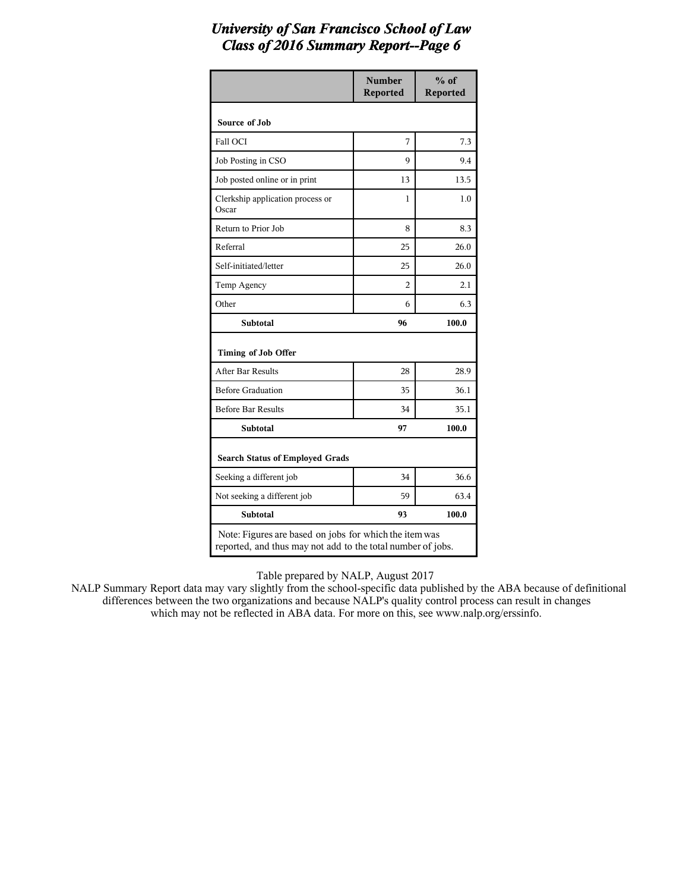|                                                        | <b>Number</b><br><b>Reported</b> | $%$ of<br><b>Reported</b> |
|--------------------------------------------------------|----------------------------------|---------------------------|
| Source of Job                                          |                                  |                           |
| Fall OCI                                               | 7                                | 7.3                       |
| Job Posting in CSO                                     | 9                                | 9.4                       |
| Job posted online or in print                          | 13                               | 13.5                      |
| Clerkship application process or<br>Oscar              | 1                                | 1.0                       |
| Return to Prior Job                                    | 8                                | 8.3                       |
| Referral                                               | 25                               | 26.0                      |
| Self-initiated/letter                                  | 25                               | 26.0                      |
| Temp Agency                                            | 2                                | 2.1                       |
| Other                                                  | 6                                | 6.3                       |
| <b>Subtotal</b>                                        | 96                               | 100.0                     |
| Timing of Job Offer                                    |                                  |                           |
| After Bar Results                                      | 28                               | 28.9                      |
| <b>Before Graduation</b>                               | 35                               | 36.1                      |
| <b>Before Bar Results</b>                              | 34                               | 35.1                      |
| <b>Subtotal</b>                                        | 97                               | 100.0                     |
| <b>Search Status of Employed Grads</b>                 |                                  |                           |
| Seeking a different job                                | 34                               | 36.6                      |
| Not seeking a different job                            | 59                               | 63.4                      |
| <b>Subtotal</b>                                        | 93                               | 100.0                     |
| Note: Figures are based on jobs for which the item was |                                  |                           |

reported, and thus may not add to the total number of jobs.

Table prepared by NALP, August 2017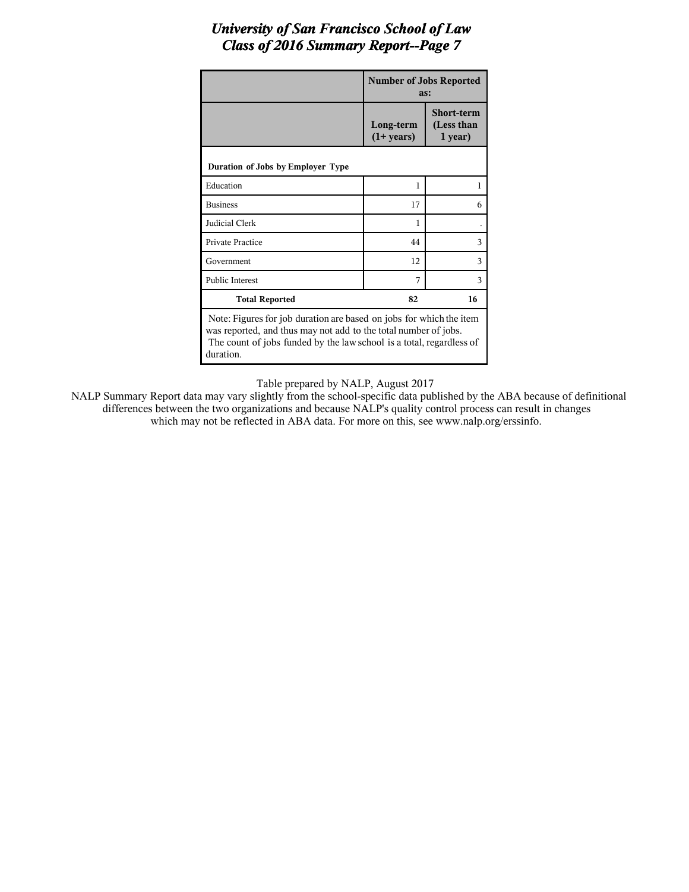|                                                                                                                                                                                                                             | <b>Number of Jobs Reported</b><br>as: |                                            |  |  |  |
|-----------------------------------------------------------------------------------------------------------------------------------------------------------------------------------------------------------------------------|---------------------------------------|--------------------------------------------|--|--|--|
|                                                                                                                                                                                                                             | Long-term<br>$(1+ \text{years})$      | <b>Short-term</b><br>(Less than<br>1 year) |  |  |  |
| Duration of Jobs by Employer Type                                                                                                                                                                                           |                                       |                                            |  |  |  |
| Education                                                                                                                                                                                                                   | 1                                     | 1                                          |  |  |  |
| <b>Business</b>                                                                                                                                                                                                             | 17                                    | 6                                          |  |  |  |
| Judicial Clerk                                                                                                                                                                                                              | 1                                     |                                            |  |  |  |
| <b>Private Practice</b>                                                                                                                                                                                                     | 44                                    | 3                                          |  |  |  |
| Government                                                                                                                                                                                                                  | 12                                    | 3                                          |  |  |  |
| <b>Public Interest</b>                                                                                                                                                                                                      | 7                                     | 3                                          |  |  |  |
| <b>Total Reported</b>                                                                                                                                                                                                       | 82                                    | 16                                         |  |  |  |
| Note: Figures for job duration are based on jobs for which the item<br>was reported, and thus may not add to the total number of jobs.<br>The count of jobs funded by the law school is a total, regardless of<br>duration. |                                       |                                            |  |  |  |

Table prepared by NALP, August 2017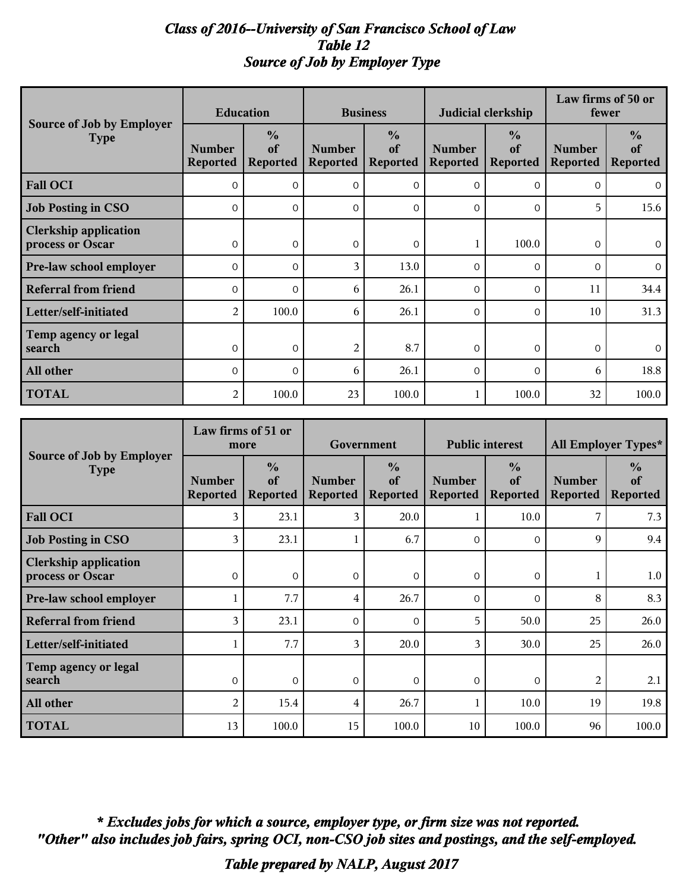### *Class of 2016--University of San Francisco School of Law Table 12 Source of Job by Employer Type*

|                                                  | <b>Education</b>                 |                                        | <b>Business</b>                  |                                        |                                  | Judicial clerkship                     | Law firms of 50 or<br>fewer      |                                        |
|--------------------------------------------------|----------------------------------|----------------------------------------|----------------------------------|----------------------------------------|----------------------------------|----------------------------------------|----------------------------------|----------------------------------------|
| <b>Source of Job by Employer</b><br><b>Type</b>  | <b>Number</b><br><b>Reported</b> | $\frac{0}{0}$<br>of<br><b>Reported</b> | <b>Number</b><br><b>Reported</b> | $\frac{0}{0}$<br>of<br><b>Reported</b> | <b>Number</b><br><b>Reported</b> | $\frac{0}{0}$<br>of<br><b>Reported</b> | <b>Number</b><br><b>Reported</b> | $\frac{0}{0}$<br>of<br><b>Reported</b> |
| <b>Fall OCI</b>                                  | $\Omega$                         | $\Omega$                               | $\Omega$                         | $\Omega$                               | $\Omega$                         | $\Omega$                               | $\Omega$                         | $\mathbf{0}$                           |
| <b>Job Posting in CSO</b>                        | $\Omega$                         | $\Omega$                               | $\Omega$                         | $\mathbf{O}$                           | $\mathbf{0}$                     | $\mathbf{0}$                           | 5                                | 15.6                                   |
| <b>Clerkship application</b><br>process or Oscar | $\Omega$                         | $\Omega$                               | $\Omega$                         | $\Omega$                               |                                  | 100.0                                  | $\Omega$                         | $\Omega$                               |
| <b>Pre-law school employer</b>                   | $\Omega$                         | $\Omega$                               | 3                                | 13.0                                   | $\Omega$                         | $\Omega$                               | $\Omega$                         | $\overline{0}$                         |
| <b>Referral from friend</b>                      | $\Omega$                         | $\Omega$                               | 6                                | 26.1                                   | $\Omega$                         | $\mathbf{0}$                           | 11                               | 34.4                                   |
| Letter/self-initiated                            | $\overline{c}$                   | 100.0                                  | 6                                | 26.1                                   | $\Omega$                         | $\Omega$                               | 10                               | 31.3                                   |
| Temp agency or legal<br>search                   | $\mathbf{0}$                     | $\mathbf{0}$                           | 2                                | 8.7                                    | $\mathbf{0}$                     | $\overline{0}$                         | $\mathbf 0$                      | $\overline{0}$                         |
| All other                                        | $\Omega$                         | $\Omega$                               | 6                                | 26.1                                   | $\Omega$                         | $\Omega$                               | 6                                | 18.8                                   |
| <b>TOTAL</b>                                     | 2                                | 100.0                                  | 23                               | 100.0                                  |                                  | 100.0                                  | 32                               | 100.0                                  |

|                                                  | Law firms of 51 or<br>more       |                                        | Government                       |                                        | <b>Public interest</b>           |                                        | All Employer Types*              |                                        |
|--------------------------------------------------|----------------------------------|----------------------------------------|----------------------------------|----------------------------------------|----------------------------------|----------------------------------------|----------------------------------|----------------------------------------|
| <b>Source of Job by Employer</b><br><b>Type</b>  | <b>Number</b><br><b>Reported</b> | $\frac{0}{0}$<br>of<br><b>Reported</b> | <b>Number</b><br><b>Reported</b> | $\frac{0}{0}$<br>of<br><b>Reported</b> | <b>Number</b><br><b>Reported</b> | $\frac{0}{0}$<br>of<br><b>Reported</b> | <b>Number</b><br><b>Reported</b> | $\frac{0}{0}$<br>of<br><b>Reported</b> |
| <b>Fall OCI</b>                                  | 3                                | 23.1                                   | 3                                | 20.0                                   |                                  | 10.0                                   |                                  | 7.3                                    |
| <b>Job Posting in CSO</b>                        | 3                                | 23.1                                   |                                  | 6.7                                    | $\Omega$                         | $\Omega$                               | 9                                | 9.4                                    |
| <b>Clerkship application</b><br>process or Oscar | $\Omega$                         | $\Omega$                               | $\Omega$                         | $\Omega$                               | $\Omega$                         | $\Omega$                               |                                  | 1.0                                    |
| Pre-law school employer                          |                                  | 7.7                                    | 4                                | 26.7                                   | $\Omega$                         | $\Omega$                               | 8                                | 8.3                                    |
| <b>Referral from friend</b>                      | 3                                | 23.1                                   | $\Omega$                         | $\Omega$                               | 5                                | 50.0                                   | 25                               | 26.0                                   |
| Letter/self-initiated                            |                                  | 7.7                                    | 3                                | 20.0                                   | 3                                | 30.0                                   | 25                               | 26.0                                   |
| Temp agency or legal<br>search                   | $\Omega$                         | $\Omega$                               | $\Omega$                         | $\Omega$                               | $\Omega$                         | $\Omega$                               | 2                                | 2.1                                    |
| All other                                        | 2                                | 15.4                                   | 4                                | 26.7                                   |                                  | 10.0                                   | 19                               | 19.8                                   |
| <b>TOTAL</b>                                     | 13                               | 100.0                                  | 15                               | 100.0                                  | 10                               | 100.0                                  | 96                               | 100.0                                  |

*"Other" also includes job fairs, spring OCI, non-CSO job sites and postings, and the self-employed. \* Excludes jobs for which a source, employer type, or firm size was not reported.*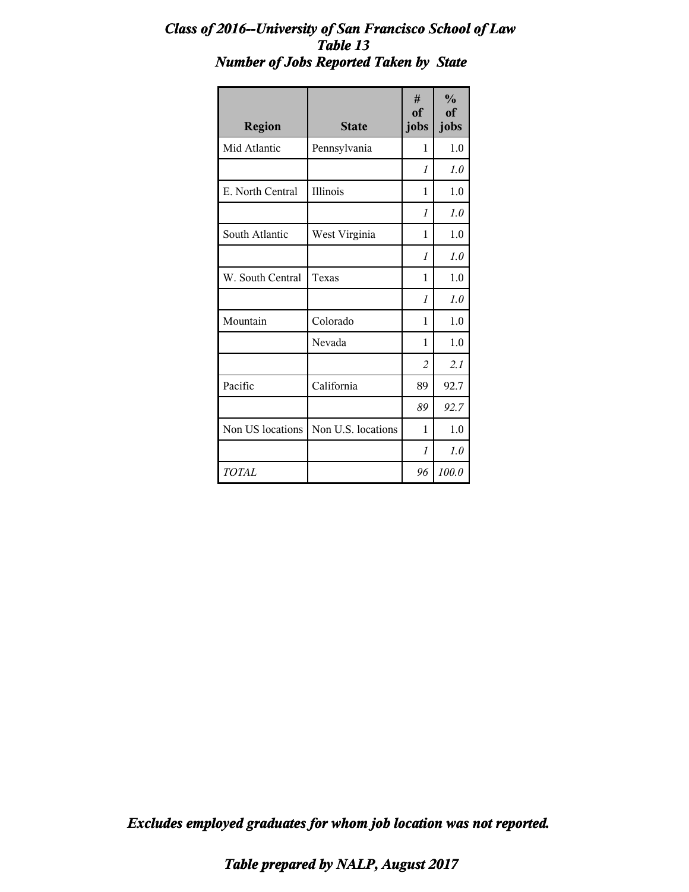### *Class of 2016--University of San Francisco School of Law Table 13 Number of Jobs Reported Taken by State*

| <b>Region</b>    | <b>State</b>       | #<br>of<br>jobs | $\frac{0}{0}$<br>of<br>jobs |
|------------------|--------------------|-----------------|-----------------------------|
| Mid Atlantic     | Pennsylvania       | 1               | 1.0                         |
|                  |                    | $\mathcal I$    | 1.0                         |
| E. North Central | Illinois           | 1               | 1.0                         |
|                  |                    | $\mathcal{I}$   | 1.0                         |
| South Atlantic   | West Virginia      | 1               | 1.0                         |
|                  |                    | $\mathcal I$    | 1.0                         |
| W. South Central | Texas              | 1               | 1.0                         |
|                  |                    | $\mathcal I$    | 1.0                         |
| Mountain         | Colorado           | 1               | 1.0                         |
|                  | Nevada             | 1               | 1.0                         |
|                  |                    | $\overline{c}$  | 2.1                         |
| Pacific          | California         | 89              | 92.7                        |
|                  |                    | 89              | 92.7                        |
| Non US locations | Non U.S. locations | 1               | 1.0                         |
|                  |                    | 1               | 1.0                         |
| TOTAL            |                    | 96              | 100.0                       |

*Excludes employed graduates for whom job location was not reported.*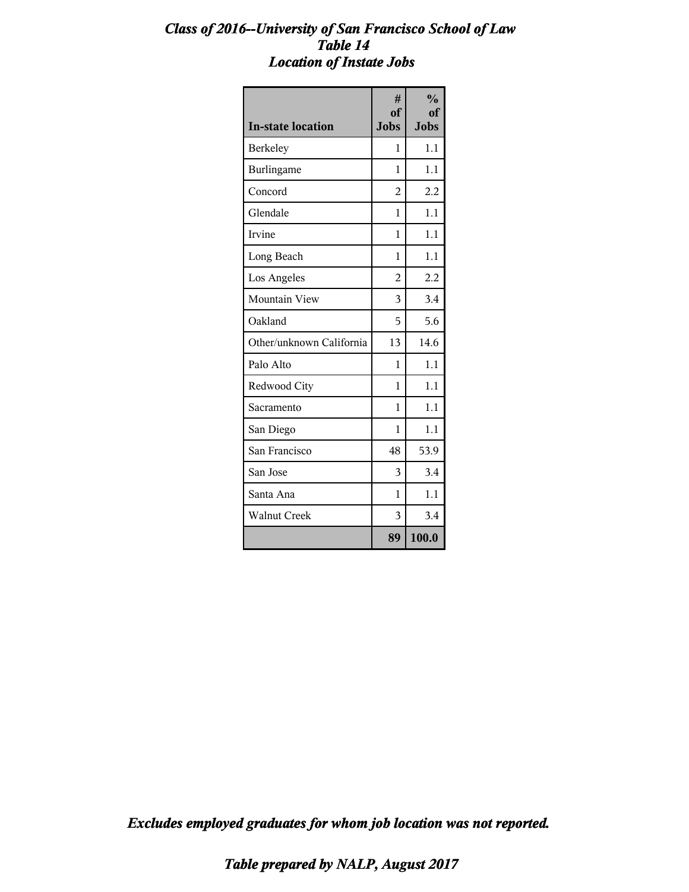### *Class of 2016--University of San Francisco School of Law Table 14 Location of Instate Jobs*

| <b>In-state location</b> | #<br>of<br><b>Jobs</b> | $\frac{0}{0}$<br>оf<br><b>Jobs</b> |
|--------------------------|------------------------|------------------------------------|
| <b>Berkeley</b>          | 1                      | 1.1                                |
| Burlingame               | 1                      | 1.1                                |
| Concord                  | $\overline{2}$         | 2.2                                |
| Glendale                 | 1                      | 1.1                                |
| Irvine                   | 1                      | 1.1                                |
| Long Beach               | 1                      | 1.1                                |
| Los Angeles              | $\overline{2}$         | 2.2                                |
| Mountain View            | 3                      | 3.4                                |
| Oakland                  | 5                      | 5.6                                |
| Other/unknown California | 13                     | 14.6                               |
| Palo Alto                | 1                      | 1.1                                |
| Redwood City             | 1                      | 1.1                                |
| Sacramento               | 1                      | 1.1                                |
| San Diego                | 1                      | 1.1                                |
| San Francisco            | 48                     | 53.9                               |
| San Jose                 | 3                      | 3.4                                |
| Santa Ana                | 1                      | 1.1                                |
| <b>Walnut Creek</b>      | 3                      | 3.4                                |
|                          | 89                     | 100.0                              |

*Excludes employed graduates for whom job location was not reported.*